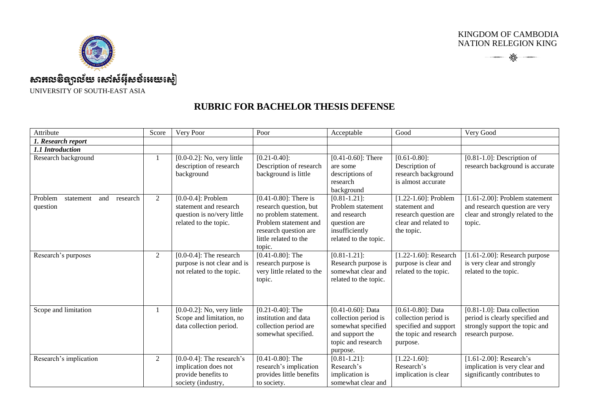KINGDOM OF CAMBODIA NATION RELEGION KING





## Attribute Score Very Poor Poor Poor Acceptable Good Very Good Very Good *1. Research report 1.1 Introduction*  $\overline{R}$  [0.0-0.2]: No, very little description of research background  $[0.21 - 0.40]$ : Description of research background is little  $[0.41 - 0.60]$ : There are some descriptions of research background [0.61-0.80]: Description of research background is almost accurate [0.81-1.0]: Description of research background is accurate Problem statement and research question 2 [0.0-0.4]: Problem statement and research question is no/very little related to the topic. [0.41-0.80]: There is research question, but no problem statement. Problem statement and research question are little related to the topic.  $[0.81 - 1.21]$ : Problem statement and research question are insufficiently related to the topic. [1.22-1.60]: Problem statement and research question are clear and related to the topic. [1.61-2.00]: Problem statement and research question are very clear and strongly related to the topic. Research's purposes  $\overline{2}$  [0.0-0.4]: The research purpose is not clear and is not related to the topic.  $[0.41 - 0.80]$ : The research purpose is very little related to the topic.  $[0.81 - 1.21]$ : Research purpose is somewhat clear and related to the topic. [1.22-1.60]: Research purpose is clear and related to the topic. [1.61-2.00]: Research purpose is very clear and strongly related to the topic. Scope and limitation 1 [0.0-0.2]: No, very little Scope and limitation, no data collection period. [0.21-0.40]: The institution and data collection period are somewhat specified. [0.41-0.60]: Data collection period is somewhat specified and support the topic and research purpose. [0.61-0.80]: Data collection period is specified and support the topic and research purpose. [0.81-1.0]: Data collection period is clearly specified and strongly support the topic and research purpose. Research's implication  $\overline{2}$  [0.0-0.4]: The research's implication does not provide benefits to society (industry, [0.41-0.80]: The research's implication provides little benefits to society.  $[0.81 - 1.21]$ : Research's implication is somewhat clear and  $[1.22 - 1.60]$ : Research's implication is clear [1.61-2.00]: Research's implication is very clear and significantly contributes to

## **RUBRIC FOR BACHELOR THESIS DEFENSE**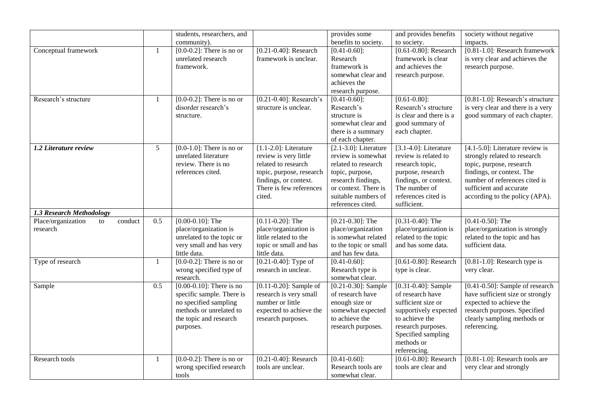|                                                 |              | students, researchers, and                         |                                                  | provides some                               | and provides benefits                         | society without negative             |
|-------------------------------------------------|--------------|----------------------------------------------------|--------------------------------------------------|---------------------------------------------|-----------------------------------------------|--------------------------------------|
|                                                 |              | community).                                        |                                                  | benefits to society.                        | to society.                                   | impacts.                             |
| Conceptual framework                            | $\mathbf{1}$ | $[0.0-0.2]$ : There is no or                       | $[0.21 - 0.40]$ : Research                       | $[0.41 - 0.60]$ :                           | [ $0.61 - 0.80$ ]: Research                   | $[0.81-1.0]$ : Research framework    |
|                                                 |              | unrelated research                                 | framework is unclear.                            | Research                                    | framework is clear                            | is very clear and achieves the       |
|                                                 |              | framework.                                         |                                                  | framework is<br>somewhat clear and          | and achieves the                              | research purpose.                    |
|                                                 |              |                                                    |                                                  | achieves the                                | research purpose.                             |                                      |
|                                                 |              |                                                    |                                                  | research purpose.                           |                                               |                                      |
| Research's structure                            | 1            | $[0.0-0.2]$ : There is no or                       | $[0.21 - 0.40]$ : Research's                     | $[0.41 - 0.60]$ :                           | $[0.61 - 0.80]$ :                             | $[0.81-1.0]$ : Research's structure  |
|                                                 |              | disorder research's                                | structure is unclear.                            | Research's                                  | Research's structure                          | is very clear and there is a very    |
|                                                 |              | structure.                                         |                                                  | structure is                                | is clear and there is a                       | good summary of each chapter.        |
|                                                 |              |                                                    |                                                  | somewhat clear and                          | good summary of                               |                                      |
|                                                 |              |                                                    |                                                  | there is a summary                          | each chapter.                                 |                                      |
|                                                 |              |                                                    |                                                  | of each chapter.                            |                                               |                                      |
| 1.2 Literature review                           | 5            | $[0.0-1.0]$ : There is no or                       | $[1.1-2.0]$ : Literature                         | $[2.1-3.0]$ : Literature                    | $[3.1-4.0]$ : Literature                      | $[4.1 - 5.0]$ : Literature review is |
|                                                 |              | unrelated literature                               | review is very little                            | review is somewhat                          | review is related to                          | strongly related to research         |
|                                                 |              | review. There is no                                | related to research                              | related to research                         | research topic,                               | topic, purpose, research             |
|                                                 |              | references cited.                                  | topic, purpose, research                         | topic, purpose,                             | purpose, research                             | findings, or context. The            |
|                                                 |              |                                                    | findings, or context.                            | research findings,                          | findings, or context.                         | number of references cited is        |
|                                                 |              |                                                    | There is few references                          | or context. There is                        | The number of                                 | sufficient and accurate              |
|                                                 |              |                                                    | cited.                                           | suitable numbers of                         | references cited is                           | according to the policy (APA).       |
|                                                 |              |                                                    |                                                  | references cited.                           | sufficient.                                   |                                      |
| 1.3 Research Methodology                        | 0.5          |                                                    |                                                  |                                             |                                               | $[0.41 - 0.50]$ : The                |
| Place/organization<br>conduct<br>to<br>research |              | $[0.00 - 0.10]$ : The                              | $[0.11 - 0.20]$ : The<br>place/organization is   | $[0.21 - 0.30]$ : The<br>place/organization | $[0.31 - 0.40]$ : The                         | place/organization is strongly       |
|                                                 |              | place/organization is<br>unrelated to the topic or | little related to the                            | is somewhat related                         | place/organization is<br>related to the topic | related to the topic and has         |
|                                                 |              | very small and has very                            | topic or small and has                           | to the topic or small                       | and has some data.                            | sufficient data.                     |
|                                                 |              | little data.                                       | little data.                                     | and has few data.                           |                                               |                                      |
| Type of research                                | $\mathbf{1}$ | $[0.0-0.2]$ : There is no or                       | $[0.21 - 0.40]$ : Type of                        | $[0.41 - 0.60]$ :                           | $[0.61 - 0.80]$ : Research                    | $[0.81 - 1.0]$ : Research type is    |
|                                                 |              | wrong specified type of                            | research in unclear.                             | Research type is                            | type is clear.                                | very clear.                          |
|                                                 |              | research.                                          |                                                  | somewhat clear.                             |                                               |                                      |
| Sample                                          | 0.5          | [ $0.00-0.10$ ]: There is no                       | $[0.11 - 0.20]$ : Sample of                      | $[0.21 - 0.30]$ : Sample                    | $[0.31 - 0.40]$ : Sample                      | $[0.41-0.50]$ : Sample of research   |
|                                                 |              | specific sample. There is                          | research is very small                           | of research have                            | of research have                              | have sufficient size or strongly     |
|                                                 |              | no specified sampling                              | number or little                                 | enough size or                              | sufficient size or                            | expected to achieve the              |
|                                                 |              | methods or unrelated to                            | expected to achieve the                          | somewhat expected                           | supportively expected                         | research purposes. Specified         |
|                                                 |              | the topic and research                             | research purposes.                               | to achieve the                              | to achieve the                                | clearly sampling methods or          |
|                                                 |              | purposes.                                          |                                                  | research purposes.                          | research purposes.                            | referencing.                         |
|                                                 |              |                                                    |                                                  |                                             | Specified sampling                            |                                      |
|                                                 |              |                                                    |                                                  |                                             | methods or                                    |                                      |
|                                                 |              |                                                    |                                                  |                                             | referencing.<br>[0.61-0.80]: Research         | $[0.81-1.0]$ : Research tools are    |
| Research tools                                  | 1            | $[0.0-0.2]$ : There is no or                       | $[0.21 - 0.40]$ : Research<br>tools are unclear. | $[0.41 - 0.60]$ :<br>Research tools are     | tools are clear and                           |                                      |
|                                                 |              | wrong specified research                           |                                                  | somewhat clear.                             |                                               | very clear and strongly              |
|                                                 |              | tools                                              |                                                  |                                             |                                               |                                      |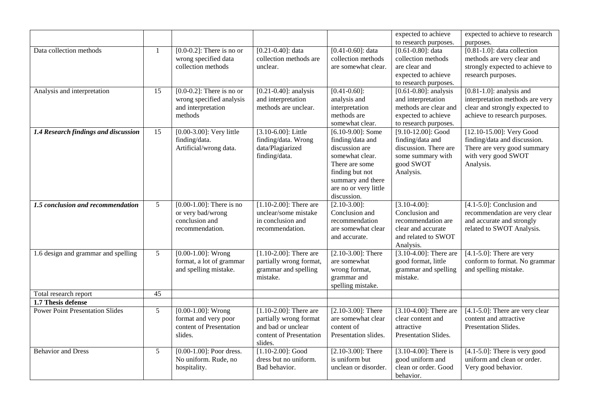|                                                              |                 |                                                                                           |                                                                                                                 |                                                                                                                                                                                 | expected to achieve                                                                                                                    | expected to achieve to research                                                                                                     |
|--------------------------------------------------------------|-----------------|-------------------------------------------------------------------------------------------|-----------------------------------------------------------------------------------------------------------------|---------------------------------------------------------------------------------------------------------------------------------------------------------------------------------|----------------------------------------------------------------------------------------------------------------------------------------|-------------------------------------------------------------------------------------------------------------------------------------|
| Data collection methods                                      | $\mathbf{1}$    | $[0.0-0.2]$ : There is no or<br>wrong specified data<br>collection methods                | $[0.21 - 0.40]$ : data<br>collection methods are<br>unclear.                                                    | $[0.41 - 0.60]$ : data<br>collection methods<br>are somewhat clear.                                                                                                             | to research purposes.<br>$[0.61 - 0.80]$ : data<br>collection methods<br>are clear and<br>expected to achieve<br>to research purposes. | purposes.<br>$[0.81-1.0]$ : data collection<br>methods are very clear and<br>strongly expected to achieve to<br>research purposes.  |
| Analysis and interpretation                                  | 15              | $[0.0-0.2]$ : There is no or<br>wrong specified analysis<br>and interpretation<br>methods | $[0.21 - 0.40]$ : analysis<br>and interpretation<br>methods are unclear.                                        | $[0.41 - 0.60]$ :<br>analysis and<br>interpretation<br>methods are<br>somewhat clear.                                                                                           | $[0.61 - 0.80]$ : analysis<br>and interpretation<br>methods are clear and<br>expected to achieve<br>to research purposes.              | $[0.81 - 1.0]$ : analysis and<br>interpretation methods are very<br>clear and strongly expected to<br>achieve to research purposes. |
| 1.4 Research findings and discussion                         | 15              | [0.00-3.00]: Very little<br>finding/data.<br>Artificial/wrong data.                       | $[3.10 - 6.00]$ : Little<br>finding/data. Wrong<br>data/Plagiarized<br>finding/data.                            | $[6.10-9.00]$ : Some<br>finding/data and<br>discussion are<br>somewhat clear.<br>There are some<br>finding but not<br>summary and there<br>are no or very little<br>discussion. | $[9.10-12.00]$ : Good<br>finding/data and<br>discussion. There are<br>some summary with<br>good SWOT<br>Analysis.                      | [12.10-15.00]: Very Good<br>finding/data and discussion.<br>There are very good summary<br>with very good SWOT<br>Analysis.         |
| 1.5 conclusion and recommendation                            | $5\overline{)}$ | $[0.00-1.00]$ : There is no<br>or very bad/wrong<br>conclusion and<br>recommendation.     | $[1.10-2.00]$ : There are<br>unclear/some mistake<br>in conclusion and<br>recommendation.                       | $[2.10-3.00]$ :<br>Conclusion and<br>recommendation<br>are somewhat clear<br>and accurate.                                                                                      | $[3.10-4.00]$ :<br>Conclusion and<br>recommendation are<br>clear and accurate<br>and related to SWOT<br>Analysis.                      | $[4.1-5.0]$ : Conclusion and<br>recommendation are very clear<br>and accurate and strongly<br>related to SWOT Analysis.             |
| 1.6 design and grammar and spelling                          | $5\overline{)}$ | $[0.00-1.00]$ : Wrong<br>format, a lot of grammar<br>and spelling mistake.                | $[1.10-2.00]$ : There are<br>partially wrong format,<br>grammar and spelling<br>mistake.                        | $[2.10-3.00]$ : There<br>are somewhat<br>wrong format,<br>grammar and<br>spelling mistake.                                                                                      | $[3.10-4.00]$ : There are<br>good format, little<br>grammar and spelling<br>mistake.                                                   | $[4.1 - 5.0]$ : There are very<br>conform to format. No grammar<br>and spelling mistake.                                            |
| Total research report                                        | 45              |                                                                                           |                                                                                                                 |                                                                                                                                                                                 |                                                                                                                                        |                                                                                                                                     |
| 1.7 Thesis defense<br><b>Power Point Presentation Slides</b> | 5               | $[0.00-1.00]$ : Wrong<br>format and very poor<br>content of Presentation<br>slides.       | $[1.10-2.00]$ : There are<br>partially wrong format<br>and bad or unclear<br>content of Presentation<br>slides. | $[2.10-3.00]$ : There<br>are somewhat clear<br>content of<br>Presentation slides.                                                                                               | $[3.10-4.00]$ : There are<br>clear content and<br>attractive<br>Presentation Slides.                                                   | $\overline{[4.1-5.0]}$ : There are very clear<br>content and attractive<br>Presentation Slides.                                     |
| <b>Behavior and Dress</b>                                    | $5\overline{)}$ | $[0.00 - 1.00]$ : Poor dress.<br>No uniform. Rude, no<br>hospitality.                     | $[1.10-2.00]$ : Good<br>dress but no uniform.<br>Bad behavior.                                                  | $[2.10-3.00]$ : There<br>is uniform but<br>unclean or disorder.                                                                                                                 | $[3.10-4.00]$ : There is<br>good uniform and<br>clean or order. Good<br>behavior.                                                      | $[4.1-5.0]$ : There is very good<br>uniform and clean or order.<br>Very good behavior.                                              |